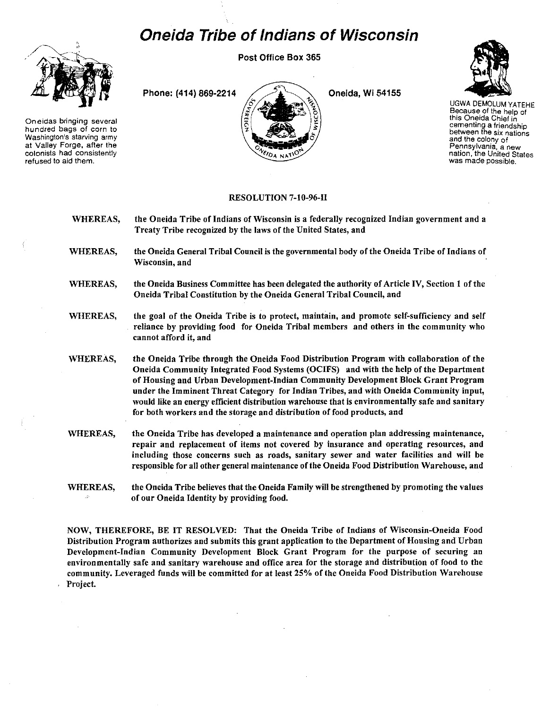## **Oneida Tribe of Indians of Wisconsin**

Post Office Box 365



**Oneidas bringing several hundred bags of corn to Washington's starving army at ValJey Forge. after the colonists had consistently refused to aid them.** 





UGWA DEMOLUM YATEHE **Because of the help of this Oneida Chief in cementing a friendship between the six nations and the colony of Pennsylvania, a new nation, the United States was made possible.** 

## RESOLUTION 7-10-96-11

- WHEREAS, the Oneida Tribe of Indians of Wisconsin is a federally recognized Indian government and a Treaty Tribe recognized by the laws of the United States, and
- WHEREAS, the Oneida General Tribal Council is the governmental body of the Oneida Tribe of Indians of **Wisconsin, and**
- WHEREAS, the Oneida Business Committee has been delegated the authority of Article IV, Section 1 of the Oneida Tribal Constitution by the Oneida General Tribal Council, and
- WHEREAS, the goal of the Oneida Tribe is to protect, maintain, and promote self-sufficiency and self reliance by providing food for Oneida Tribal members and others in the community who cannot afford it, and
- WHEREAS, the Oneida Tribe through the Oneida Food Distribution Program with collaboration of the Oneida Community Integrated Food Systems (OCIFS) and with the help of the Department of Housing and Urban Development-Indian Community Development Block Grant Program under the Imminent Threat Category for Indian Tribes, and with Oneida Community input, would like an energy efficient distribution warehouse that is environmentally safe and sanitary for both workers and the storage and distribution of food products, and
- WHEREAS, the Oneida Tribe has developed a maintenance and operation plan addressing maintenance, **repair and replacement of items not covered by insurance and operating resources, and including those concerns such as roads, sanitary sewer and water facilities and will be**  responsible for all other general maintenance of the Oneida Food Distribution Warehouse, and
- WHEREAS, the Oneida Tribe believes that the Oneida Family will be strengthened by promoting the values of our Oneida Identity by providing food.

NOW, THEREFORE, BE IT RESOLVED: That the Oneida Tribe of Indians of Wisconsin-Oneida Food Distribution Program authorizes and submits this grant application to the Department of Housing and Urban Development-Indian Community Development Block Grant Program for the purpose of securing an environmentally safe and sanitary warehouse and office area for the storage and distribution of food to the community. Leveraged funds will be committed for at least 25% of the Oneida Food Distribution Warehouse Project.